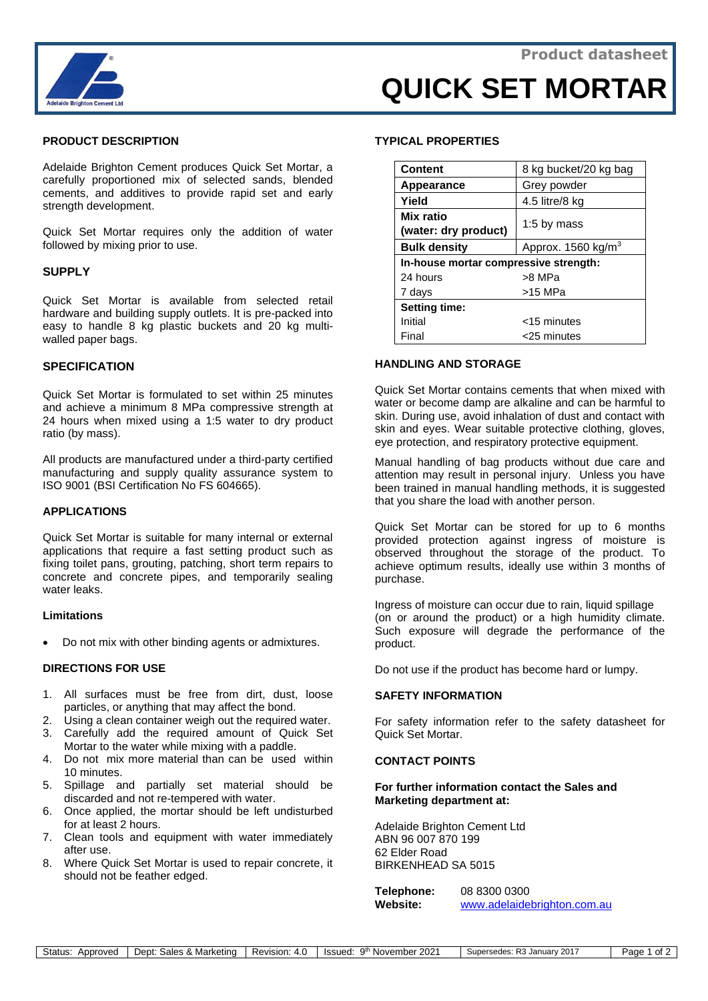

# **QUICK SET MORTAR**

## **PRODUCT DESCRIPTION**

Adelaide Brighton Cement produces Quick Set Mortar, a carefully proportioned mix of selected sands, blended cements, and additives to provide rapid set and early strength development.

Quick Set Mortar requires only the addition of water followed by mixing prior to use.

#### **SUPPLY**

Quick Set Mortar is available from selected retail hardware and building supply outlets. It is pre-packed into easy to handle 8 kg plastic buckets and 20 kg multiwalled paper bags.

## **SPECIFICATION**

Quick Set Mortar is formulated to set within 25 minutes and achieve a minimum 8 MPa compressive strength at 24 hours when mixed using a 1:5 water to dry product ratio (by mass).

All products are manufactured under a third-party certified manufacturing and supply quality assurance system to ISO 9001 (BSI Certification No FS 604665).

#### **APPLICATIONS**

Quick Set Mortar is suitable for many internal or external applications that require a fast setting product such as fixing toilet pans, grouting, patching, short term repairs to concrete and concrete pipes, and temporarily sealing water leaks.

#### **Limitations**

• Do not mix with other binding agents or admixtures.

#### **DIRECTIONS FOR USE**

- 1. All surfaces must be free from dirt, dust, loose particles, or anything that may affect the bond.
- 2. Using a clean container weigh out the required water.
- 3. Carefully add the required amount of Quick Set Mortar to the water while mixing with a paddle.
- 4. Do not mix more material than can be used within 10 minutes.
- 5. Spillage and partially set material should be discarded and not re-tempered with water.
- 6. Once applied, the mortar should be left undisturbed for at least 2 hours.
- 7. Clean tools and equipment with water immediately after use.
- 8. Where Quick Set Mortar is used to repair concrete, it should not be feather edged.

#### **TYPICAL PROPERTIES**

| <b>Content</b>                        | 8 kg bucket/20 kg bag            |
|---------------------------------------|----------------------------------|
| Appearance                            | Grey powder                      |
| Yield                                 | 4.5 litre/8 kg                   |
| Mix ratio<br>(water: dry product)     | 1:5 by mass                      |
| <b>Bulk density</b>                   | Approx. $1560$ kg/m <sup>3</sup> |
| In-house mortar compressive strength: |                                  |
| 24 hours                              | >8 MPa                           |
| 7 days                                | $>15$ MPa                        |
| <b>Setting time:</b>                  |                                  |
| Initial                               | <15 minutes                      |
| Final                                 | <25 minutes                      |

## **HANDLING AND STORAGE**

Quick Set Mortar contains cements that when mixed with water or become damp are alkaline and can be harmful to skin. During use, avoid inhalation of dust and contact with skin and eyes. Wear suitable protective clothing, gloves, eye protection, and respiratory protective equipment.

Manual handling of bag products without due care and attention may result in personal injury. Unless you have been trained in manual handling methods, it is suggested that you share the load with another person.

Quick Set Mortar can be stored for up to 6 months provided protection against ingress of moisture is observed throughout the storage of the product. To achieve optimum results, ideally use within 3 months of purchase.

Ingress of moisture can occur due to rain, liquid spillage (on or around the product) or a high humidity climate. Such exposure will degrade the performance of the product.

Do not use if the product has become hard or lumpy.

#### **SAFETY INFORMATION**

For safety information refer to the safety datasheet for Quick Set Mortar.

## **CONTACT POINTS**

#### **For further information contact the Sales and Marketing department at:**

Adelaide Brighton Cement Ltd ABN 96 007 870 199 62 Elder Road BIRKENHEAD SA 5015

**Telephone:** 08 8300 0300 **Website:** [www.adelaidebrighton.com.au](http://www.adelaidebrighton.com.au/)